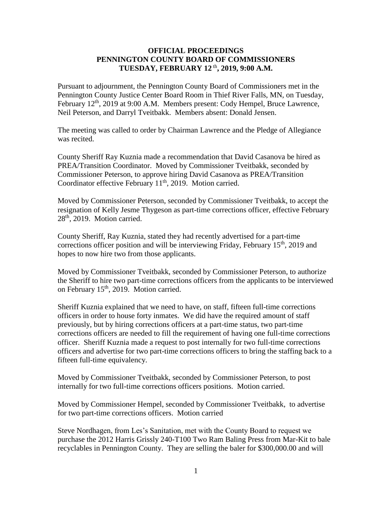## **OFFICIAL PROCEEDINGS PENNINGTON COUNTY BOARD OF COMMISSIONERS TUESDAY, FEBRUARY 12** th **, 2019, 9:00 A.M.**

Pursuant to adjournment, the Pennington County Board of Commissioners met in the Pennington County Justice Center Board Room in Thief River Falls, MN, on Tuesday, February 12<sup>th</sup>, 2019 at 9:00 A.M. Members present: Cody Hempel, Bruce Lawrence, Neil Peterson, and Darryl Tveitbakk. Members absent: Donald Jensen.

The meeting was called to order by Chairman Lawrence and the Pledge of Allegiance was recited.

County Sheriff Ray Kuznia made a recommendation that David Casanova be hired as PREA/Transition Coordinator. Moved by Commissioner Tveitbakk, seconded by Commissioner Peterson, to approve hiring David Casanova as PREA/Transition Coordinator effective February 11<sup>th</sup>, 2019. Motion carried.

Moved by Commissioner Peterson, seconded by Commissioner Tveitbakk, to accept the resignation of Kelly Jesme Thygeson as part-time corrections officer, effective February 28th, 2019. Motion carried.

County Sheriff, Ray Kuznia, stated they had recently advertised for a part-time corrections officer position and will be interviewing Friday, February  $15<sup>th</sup>$ , 2019 and hopes to now hire two from those applicants.

Moved by Commissioner Tveitbakk, seconded by Commissioner Peterson, to authorize the Sheriff to hire two part-time corrections officers from the applicants to be interviewed on February 15<sup>th</sup>, 2019. Motion carried.

Sheriff Kuznia explained that we need to have, on staff, fifteen full-time corrections officers in order to house forty inmates. We did have the required amount of staff previously, but by hiring corrections officers at a part-time status, two part-time corrections officers are needed to fill the requirement of having one full-time corrections officer. Sheriff Kuznia made a request to post internally for two full-time corrections officers and advertise for two part-time corrections officers to bring the staffing back to a fifteen full-time equivalency.

Moved by Commissioner Tveitbakk, seconded by Commissioner Peterson, to post internally for two full-time corrections officers positions. Motion carried.

Moved by Commissioner Hempel, seconded by Commissioner Tveitbakk, to advertise for two part-time corrections officers. Motion carried

Steve Nordhagen, from Les's Sanitation, met with the County Board to request we purchase the 2012 Harris Grissly 240-T100 Two Ram Baling Press from Mar-Kit to bale recyclables in Pennington County. They are selling the baler for \$300,000.00 and will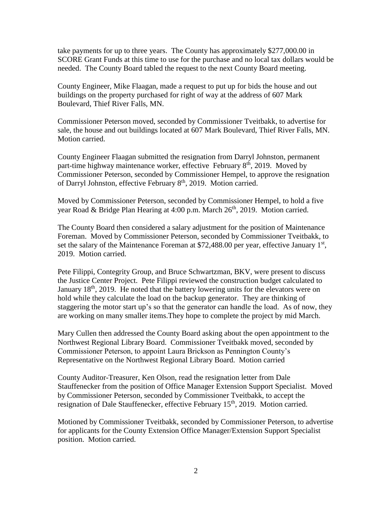take payments for up to three years. The County has approximately \$277,000.00 in SCORE Grant Funds at this time to use for the purchase and no local tax dollars would be needed. The County Board tabled the request to the next County Board meeting.

County Engineer, Mike Flaagan, made a request to put up for bids the house and out buildings on the property purchased for right of way at the address of 607 Mark Boulevard, Thief River Falls, MN.

Commissioner Peterson moved, seconded by Commissioner Tveitbakk, to advertise for sale, the house and out buildings located at 607 Mark Boulevard, Thief River Falls, MN. Motion carried.

County Engineer Flaagan submitted the resignation from Darryl Johnston, permanent part-time highway maintenance worker, effective February 8<sup>th</sup>, 2019. Moved by Commissioner Peterson, seconded by Commissioner Hempel, to approve the resignation of Darryl Johnston, effective February 8<sup>th</sup>, 2019. Motion carried.

Moved by Commissioner Peterson, seconded by Commissioner Hempel, to hold a five year Road & Bridge Plan Hearing at 4:00 p.m. March  $26<sup>th</sup>$ , 2019. Motion carried.

The County Board then considered a salary adjustment for the position of Maintenance Foreman. Moved by Commissioner Peterson, seconded by Commissioner Tveitbakk, to set the salary of the Maintenance Foreman at \$72,488.00 per year, effective January  $1<sup>st</sup>$ , 2019. Motion carried.

Pete Filippi, Contegrity Group, and Bruce Schwartzman, BKV, were present to discuss the Justice Center Project. Pete Filippi reviewed the construction budget calculated to January  $18<sup>th</sup>$ , 2019. He noted that the battery lowering units for the elevators were on hold while they calculate the load on the backup generator. They are thinking of staggering the motor start up's so that the generator can handle the load. As of now, they are working on many smaller items.They hope to complete the project by mid March.

Mary Cullen then addressed the County Board asking about the open appointment to the Northwest Regional Library Board. Commissioner Tveitbakk moved, seconded by Commissioner Peterson, to appoint Laura Brickson as Pennington County's Representative on the Northwest Regional Library Board. Motion carried

County Auditor-Treasurer, Ken Olson, read the resignation letter from Dale Stauffenecker from the position of Office Manager Extension Support Specialist. Moved by Commissioner Peterson, seconded by Commissioner Tveitbakk, to accept the resignation of Dale Stauffenecker, effective February 15<sup>th</sup>, 2019. Motion carried.

Motioned by Commissioner Tveitbakk, seconded by Commissioner Peterson, to advertise for applicants for the County Extension Office Manager/Extension Support Specialist position. Motion carried.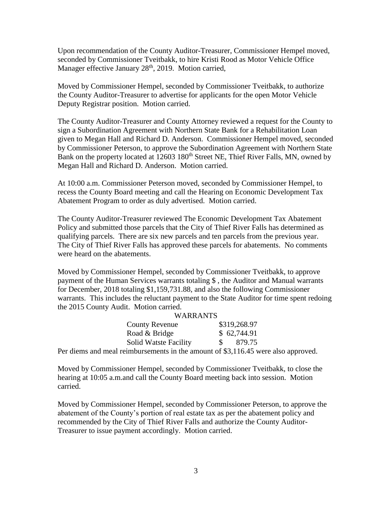Upon recommendation of the County Auditor-Treasurer, Commissioner Hempel moved, seconded by Commissioner Tveitbakk, to hire Kristi Rood as Motor Vehicle Office Manager effective January  $28<sup>th</sup>$ , 2019. Motion carried,

Moved by Commissioner Hempel, seconded by Commissioner Tveitbakk, to authorize the County Auditor-Treasurer to advertise for applicants for the open Motor Vehicle Deputy Registrar position. Motion carried.

The County Auditor-Treasurer and County Attorney reviewed a request for the County to sign a Subordination Agreement with Northern State Bank for a Rehabilitation Loan given to Megan Hall and Richard D. Anderson. Commissioner Hempel moved, seconded by Commissioner Peterson, to approve the Subordination Agreement with Northern State Bank on the property located at 12603 180<sup>th</sup> Street NE, Thief River Falls, MN, owned by Megan Hall and Richard D. Anderson. Motion carried.

At 10:00 a.m. Commissioner Peterson moved, seconded by Commissioner Hempel, to recess the County Board meeting and call the Hearing on Economic Development Tax Abatement Program to order as duly advertised. Motion carried.

The County Auditor-Treasurer reviewed The Economic Development Tax Abatement Policy and submitted those parcels that the City of Thief River Falls has determined as qualifying parcels. There are six new parcels and ten parcels from the previous year. The City of Thief River Falls has approved these parcels for abatements. No comments were heard on the abatements.

Moved by Commissioner Hempel, seconded by Commissioner Tveitbakk, to approve payment of the Human Services warrants totaling \$ , the Auditor and Manual warrants for December, 2018 totaling \$1,159,731.88, and also the following Commissioner warrants. This includes the reluctant payment to the State Auditor for time spent redoing the 2015 County Audit. Motion carried.

| <b>WARRANTS</b>              |                |
|------------------------------|----------------|
| <b>County Revenue</b>        | \$319,268.97   |
| Road & Bridge                | \$62,744.91    |
| <b>Solid Watste Facility</b> | 879.75<br>SS 3 |
|                              |                |

Per diems and meal reimbursements in the amount of \$3,116.45 were also approved.

Moved by Commissioner Hempel, seconded by Commissioner Tveitbakk, to close the hearing at 10:05 a.m.and call the County Board meeting back into session. Motion carried.

Moved by Commissioner Hempel, seconded by Commissioner Peterson, to approve the abatement of the County's portion of real estate tax as per the abatement policy and recommended by the City of Thief River Falls and authorize the County Auditor-Treasurer to issue payment accordingly. Motion carried.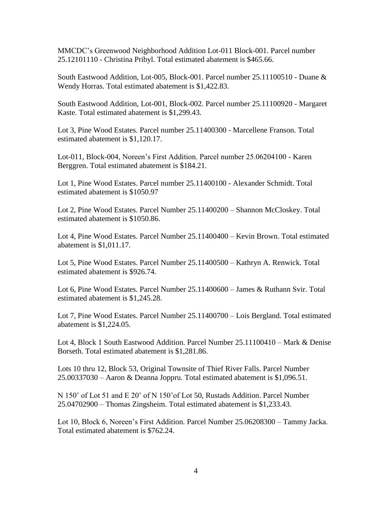MMCDC's Greenwood Neighborhood Addition Lot-011 Block-001. Parcel number 25.12101110 - Christina Pribyl. Total estimated abatement is \$465.66.

South Eastwood Addition, Lot-005, Block-001. Parcel number 25.11100510 - Duane & Wendy Horras. Total estimated abatement is \$1,422.83.

South Eastwood Addition, Lot-001, Block-002. Parcel number 25.11100920 - Margaret Kaste. Total estimated abatement is \$1,299.43.

Lot 3, Pine Wood Estates. Parcel number 25.11400300 - Marcellene Franson. Total estimated abatement is \$1,120.17.

Lot-011, Block-004, Noreen's First Addition. Parcel number 25.06204100 - Karen Berggren. Total estimated abatement is \$184.21.

Lot 1, Pine Wood Estates. Parcel number 25.11400100 - Alexander Schmidt. Total estimated abatement is \$1050.97

Lot 2, Pine Wood Estates. Parcel Number 25.11400200 – Shannon McCloskey. Total estimated abatement is \$1050.86.

Lot 4, Pine Wood Estates. Parcel Number 25.11400400 – Kevin Brown. Total estimated abatement is \$1,011.17.

Lot 5, Pine Wood Estates. Parcel Number 25.11400500 – Kathryn A. Renwick. Total estimated abatement is \$926.74.

Lot 6, Pine Wood Estates. Parcel Number 25.11400600 – James & Ruthann Svir. Total estimated abatement is \$1,245.28.

Lot 7, Pine Wood Estates. Parcel Number 25.11400700 – Lois Bergland. Total estimated abatement is \$1,224.05.

Lot 4, Block 1 South Eastwood Addition. Parcel Number 25.11100410 – Mark & Denise Borseth. Total estimated abatement is \$1,281.86.

Lots 10 thru 12, Block 53, Original Townsite of Thief River Falls. Parcel Number 25.00337030 – Aaron & Deanna Joppru. Total estimated abatement is \$1,096.51.

N 150' of Lot 51 and E 20' of N 150'of Lot 50, Rustads Addition. Parcel Number 25.04702900 – Thomas Zingsheim. Total estimated abatement is \$1,233.43.

Lot 10, Block 6, Noreen's First Addition. Parcel Number 25.06208300 – Tammy Jacka. Total estimated abatement is \$762.24.